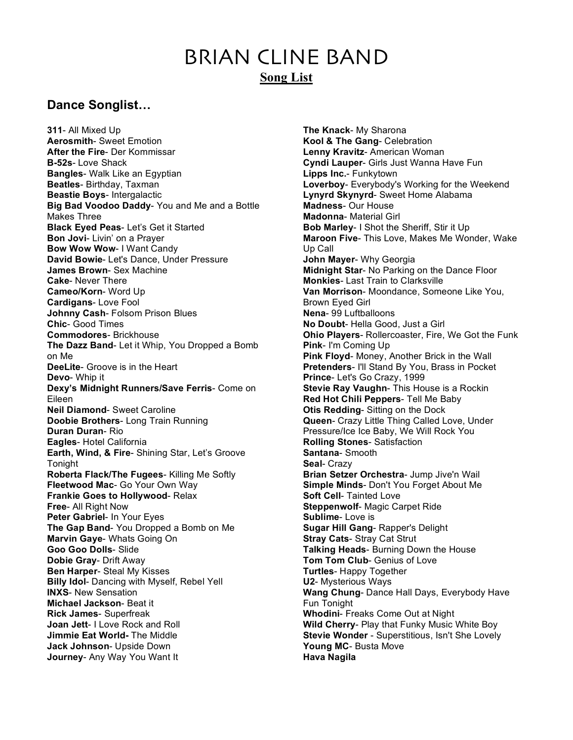# BRIAN CLINE BAND **Song List**

# **Dance Songlist…**

**311**- All Mixed Up **Aerosmith**- Sweet Emotion **After the Fire**- Der Kommissar **B-52s**- Love Shack **Bangles**- Walk Like an Egyptian **Beatles**- Birthday, Taxman **Beastie Boys**- Intergalactic **Big Bad Voodoo Daddy**- You and Me and a Bottle Makes Three **Black Eyed Peas**- Let's Get it Started **Bon Jovi**- Livin' on a Prayer **Bow Wow Wow**- I Want Candy **David Bowie**- Let's Dance, Under Pressure **James Brown**- Sex Machine **Cake**- Never There **Cameo/Korn**- Word Up **Cardigans**- Love Fool **Johnny Cash**- Folsom Prison Blues **Chic**- Good Times **Commodores**- Brickhouse **The Dazz Band**- Let it Whip, You Dropped a Bomb on Me **DeeLite**- Groove is in the Heart **Devo**- Whip it **Dexy's Midnight Runners/Save Ferris**- Come on Eileen **Neil Diamond**- Sweet Caroline **Doobie Brothers**- Long Train Running **Duran Duran**- Rio **Eagles**- Hotel California **Earth, Wind, & Fire**- Shining Star, Let's Groove Tonight **Roberta Flack/The Fugees**- Killing Me Softly **Fleetwood Mac**- Go Your Own Way **Frankie Goes to Hollywood**- Relax **Free**- All Right Now **Peter Gabriel**- In Your Eyes **The Gap Band**- You Dropped a Bomb on Me **Marvin Gaye**- Whats Going On **Goo Goo Dolls**- Slide **Dobie Gray**- Drift Away **Ben Harper**- Steal My Kisses **Billy Idol**- Dancing with Myself, Rebel Yell **INXS**- New Sensation **Michael Jackson**- Beat it **Rick James**- Superfreak **Joan Jett**- I Love Rock and Roll **Jimmie Eat World-** The Middle **Jack Johnson**- Upside Down **Journey**- Any Way You Want It

**The Knack**- My Sharona **Kool & The Gang**- Celebration **Lenny Kravitz**- American Woman **Cyndi Lauper**- Girls Just Wanna Have Fun **Lipps Inc.**- Funkytown **Loverboy**- Everybody's Working for the Weekend **Lynyrd Skynyrd**- Sweet Home Alabama **Madness**- Our House **Madonna**- Material Girl **Bob Marley**- I Shot the Sheriff, Stir it Up **Maroon Five**- This Love, Makes Me Wonder, Wake Up Call **John Mayer**- Why Georgia **Midnight Star**- No Parking on the Dance Floor **Monkies**- Last Train to Clarksville **Van Morrison**- Moondance, Someone Like You, Brown Eyed Girl **Nena**- 99 Luftballoons **No Doubt**- Hella Good, Just a Girl **Ohio Players**- Rollercoaster, Fire, We Got the Funk **Pink**- I'm Coming Up **Pink Floyd**- Money, Another Brick in the Wall **Pretenders**- I'll Stand By You, Brass in Pocket **Prince**- Let's Go Crazy, 1999 **Stevie Ray Vaughn**- This House is a Rockin **Red Hot Chili Peppers**- Tell Me Baby **Otis Redding**- Sitting on the Dock **Queen**- Crazy Little Thing Called Love, Under Pressure/Ice Ice Baby, We Will Rock You **Rolling Stones**- Satisfaction **Santana**- Smooth **Seal**- Crazy **Brian Setzer Orchestra**- Jump Jive'n Wail **Simple Minds**- Don't You Forget About Me **Soft Cell**- Tainted Love **Steppenwolf**- Magic Carpet Ride **Sublime**- Love is **Sugar Hill Gang**- Rapper's Delight **Stray Cats**- Stray Cat Strut **Talking Heads**- Burning Down the House **Tom Tom Club**- Genius of Love **Turtles**- Happy Together **U2**- Mysterious Ways **Wang Chung**- Dance Hall Days, Everybody Have Fun Tonight **Whodini**- Freaks Come Out at Night **Wild Cherry**- Play that Funky Music White Boy **Stevie Wonder** - Superstitious, Isn't She Lovely **Young MC**- Busta Move **Hava Nagila**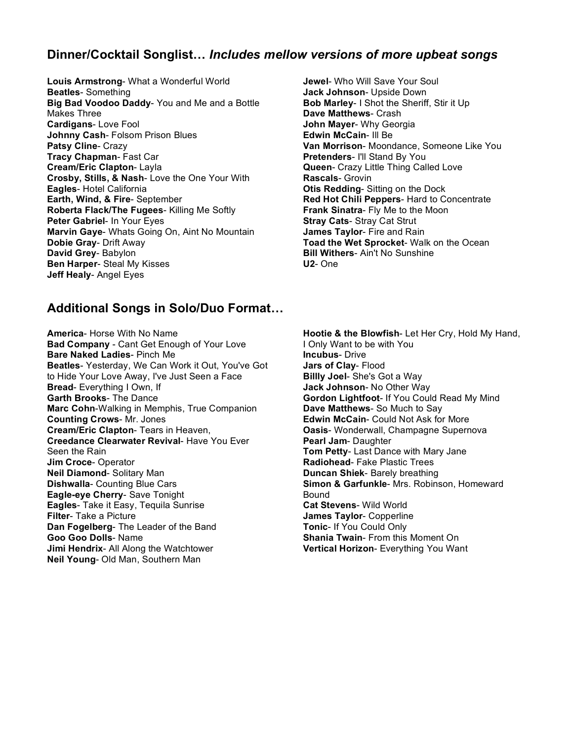### **Dinner/Cocktail Songlist…** *Includes mellow versions of more upbeat songs*

**Louis Armstrong**- What a Wonderful World **Beatles**- Something **Big Bad Voodoo Daddy**- You and Me and a Bottle Makes Three **Cardigans**- Love Fool **Johnny Cash**- Folsom Prison Blues **Patsy Cline**- Crazy **Tracy Chapman**- Fast Car **Cream/Eric Clapton**- Layla **Crosby, Stills, & Nash**- Love the One Your With **Eagles**- Hotel California **Earth, Wind, & Fire**- September **Roberta Flack/The Fugees**- Killing Me Softly **Peter Gabriel**- In Your Eyes **Marvin Gaye**- Whats Going On, Aint No Mountain **Dobie Gray**- Drift Away **David Grey**- Babylon **Ben Harper**- Steal My Kisses **Jeff Healy**- Angel Eyes

#### **Additional Songs in Solo/Duo Format…**

**America**- Horse With No Name **Bad Company** - Cant Get Enough of Your Love **Bare Naked Ladies**- Pinch Me **Beatles**- Yesterday, We Can Work it Out, You've Got to Hide Your Love Away, I've Just Seen a Face **Bread**- Everything I Own, If **Garth Brooks**- The Dance **Marc Cohn**-Walking in Memphis, True Companion **Counting Crows**- Mr. Jones **Cream/Eric Clapton**- Tears in Heaven, **Creedance Clearwater Revival**- Have You Ever Seen the Rain **Jim Croce**- Operator **Neil Diamond**- Solitary Man **Dishwalla**- Counting Blue Cars **Eagle-eye Cherry**- Save Tonight **Eagles**- Take it Easy, Tequila Sunrise **Filter**- Take a Picture **Dan Fogelberg**- The Leader of the Band **Goo Goo Dolls**- Name **Jimi Hendrix**- All Along the Watchtower **Neil Young**- Old Man, Southern Man

**Jewel**- Who Will Save Your Soul **Jack Johnson**- Upside Down **Bob Marley**- I Shot the Sheriff, Stir it Up **Dave Matthews**- Crash **John Mayer**- Why Georgia **Edwin McCain**- Ill Be **Van Morrison**- Moondance, Someone Like You **Pretenders**- I'll Stand By You **Queen**- Crazy Little Thing Called Love **Rascals**- Grovin **Otis Redding**- Sitting on the Dock **Red Hot Chili Peppers**- Hard to Concentrate **Frank Sinatra**- Fly Me to the Moon **Stray Cats**- Stray Cat Strut **James Taylor**- Fire and Rain **Toad the Wet Sprocket**- Walk on the Ocean **Bill Withers**- Ain't No Sunshine **U2**- One

**Hootie & the Blowfish**- Let Her Cry, Hold My Hand, I Only Want to be with You **Incubus**- Drive **Jars of Clay**- Flood **Billly Joel**- She's Got a Way **Jack Johnson**- No Other Way **Gordon Lightfoot**- If You Could Read My Mind **Dave Matthews**- So Much to Say **Edwin McCain**- Could Not Ask for More **Oasis**- Wonderwall, Champagne Supernova **Pearl Jam**- Daughter **Tom Petty**- Last Dance with Mary Jane **Radiohead**- Fake Plastic Trees **Duncan Shiek**- Barely breathing **Simon & Garfunkle**- Mrs. Robinson, Homeward Bound **Cat Stevens**- Wild World **James Taylor**- Copperline **Tonic**- If You Could Only **Shania Twain**- From this Moment On **Vertical Horizon**- Everything You Want